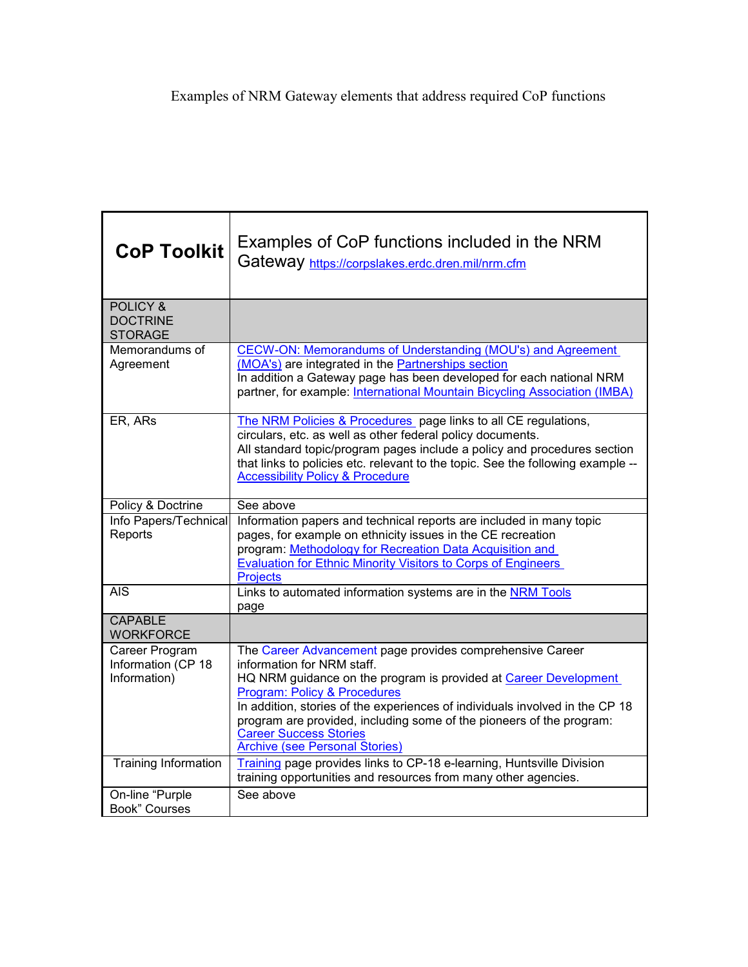| <b>CoP Toolkit</b>                                       | Examples of CoP functions included in the NRM<br>Gateway https://corpslakes.erdc.dren.mil/nrm.cfm                                                                                                                                                                                                                                                                                                                                        |
|----------------------------------------------------------|------------------------------------------------------------------------------------------------------------------------------------------------------------------------------------------------------------------------------------------------------------------------------------------------------------------------------------------------------------------------------------------------------------------------------------------|
| <b>POLICY &amp;</b><br><b>DOCTRINE</b><br><b>STORAGE</b> |                                                                                                                                                                                                                                                                                                                                                                                                                                          |
| Memorandums of<br>Agreement                              | <b>CECW-ON: Memorandums of Understanding (MOU's) and Agreement</b><br>(MOA's) are integrated in the Partnerships section<br>In addition a Gateway page has been developed for each national NRM<br>partner, for example: International Mountain Bicycling Association (IMBA)                                                                                                                                                             |
| ER, ARs                                                  | The NRM Policies & Procedures page links to all CE regulations,<br>circulars, etc. as well as other federal policy documents.<br>All standard topic/program pages include a policy and procedures section<br>that links to policies etc. relevant to the topic. See the following example --<br><b>Accessibility Policy &amp; Procedure</b>                                                                                              |
| Policy & Doctrine                                        | See above                                                                                                                                                                                                                                                                                                                                                                                                                                |
| Info Papers/Technical<br>Reports                         | Information papers and technical reports are included in many topic<br>pages, for example on ethnicity issues in the CE recreation<br>program: Methodology for Recreation Data Acquisition and<br><b>Evaluation for Ethnic Minority Visitors to Corps of Engineers</b><br><b>Projects</b>                                                                                                                                                |
| <b>AIS</b>                                               | Links to automated information systems are in the NRM Tools<br>page                                                                                                                                                                                                                                                                                                                                                                      |
| <b>CAPABLE</b><br><b>WORKFORCE</b>                       |                                                                                                                                                                                                                                                                                                                                                                                                                                          |
| Career Program<br>Information (CP 18<br>Information)     | The Career Advancement page provides comprehensive Career<br>information for NRM staff.<br>HQ NRM guidance on the program is provided at Career Development<br><b>Program: Policy &amp; Procedures</b><br>In addition, stories of the experiences of individuals involved in the CP 18<br>program are provided, including some of the pioneers of the program:<br><b>Career Success Stories</b><br><b>Archive (see Personal Stories)</b> |
| Training Information                                     | Training page provides links to CP-18 e-learning, Huntsville Division<br>training opportunities and resources from many other agencies.                                                                                                                                                                                                                                                                                                  |
| On-line "Purple<br><b>Book" Courses</b>                  | See above                                                                                                                                                                                                                                                                                                                                                                                                                                |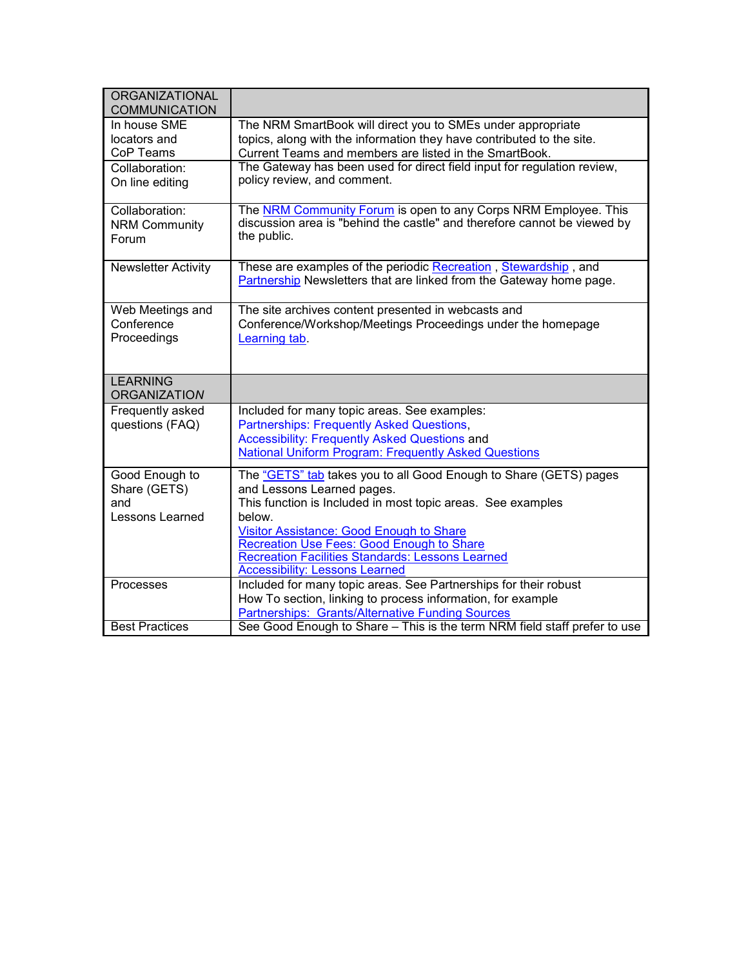| <b>ORGANIZATIONAL</b>      |                                                                                                                                      |
|----------------------------|--------------------------------------------------------------------------------------------------------------------------------------|
| <b>COMMUNICATION</b>       |                                                                                                                                      |
|                            |                                                                                                                                      |
| In house SME               | The NRM SmartBook will direct you to SMEs under appropriate                                                                          |
| locators and               | topics, along with the information they have contributed to the site.                                                                |
| CoP Teams                  | Current Teams and members are listed in the SmartBook.                                                                               |
| Collaboration:             | The Gateway has been used for direct field input for regulation review,                                                              |
| On line editing            | policy review, and comment.                                                                                                          |
|                            |                                                                                                                                      |
| Collaboration:             | The NRM Community Forum is open to any Corps NRM Employee. This                                                                      |
| <b>NRM Community</b>       | discussion area is "behind the castle" and therefore cannot be viewed by                                                             |
| Forum                      | the public.                                                                                                                          |
|                            |                                                                                                                                      |
| <b>Newsletter Activity</b> | These are examples of the periodic Recreation, Stewardship, and                                                                      |
|                            | Partnership Newsletters that are linked from the Gateway home page.                                                                  |
|                            |                                                                                                                                      |
| Web Meetings and           | The site archives content presented in webcasts and                                                                                  |
| Conference                 | Conference/Workshop/Meetings Proceedings under the homepage                                                                          |
| Proceedings                | Learning tab.                                                                                                                        |
|                            |                                                                                                                                      |
|                            |                                                                                                                                      |
|                            |                                                                                                                                      |
|                            |                                                                                                                                      |
| <b>LEARNING</b>            |                                                                                                                                      |
| <b>ORGANIZATION</b>        |                                                                                                                                      |
| Frequently asked           | Included for many topic areas. See examples:                                                                                         |
| questions (FAQ)            | <b>Partnerships: Frequently Asked Questions,</b>                                                                                     |
|                            | <b>Accessibility: Frequently Asked Questions and</b>                                                                                 |
|                            | <b>National Uniform Program: Frequently Asked Questions</b>                                                                          |
| Good Enough to             | The "GETS" tab takes you to all Good Enough to Share (GETS) pages                                                                    |
| Share (GETS)               | and Lessons Learned pages.                                                                                                           |
| and                        | This function is Included in most topic areas. See examples                                                                          |
| Lessons Learned            | below.                                                                                                                               |
|                            |                                                                                                                                      |
|                            | <b>Visitor Assistance: Good Enough to Share</b>                                                                                      |
|                            | Recreation Use Fees: Good Enough to Share<br><b>Recreation Facilities Standards: Lessons Learned</b>                                 |
|                            | <b>Accessibility: Lessons Learned</b>                                                                                                |
| Processes                  | Included for many topic areas. See Partnerships for their robust                                                                     |
|                            | How To section, linking to process information, for example                                                                          |
| <b>Best Practices</b>      | <b>Partnerships: Grants/Alternative Funding Sources</b><br>See Good Enough to Share - This is the term NRM field staff prefer to use |